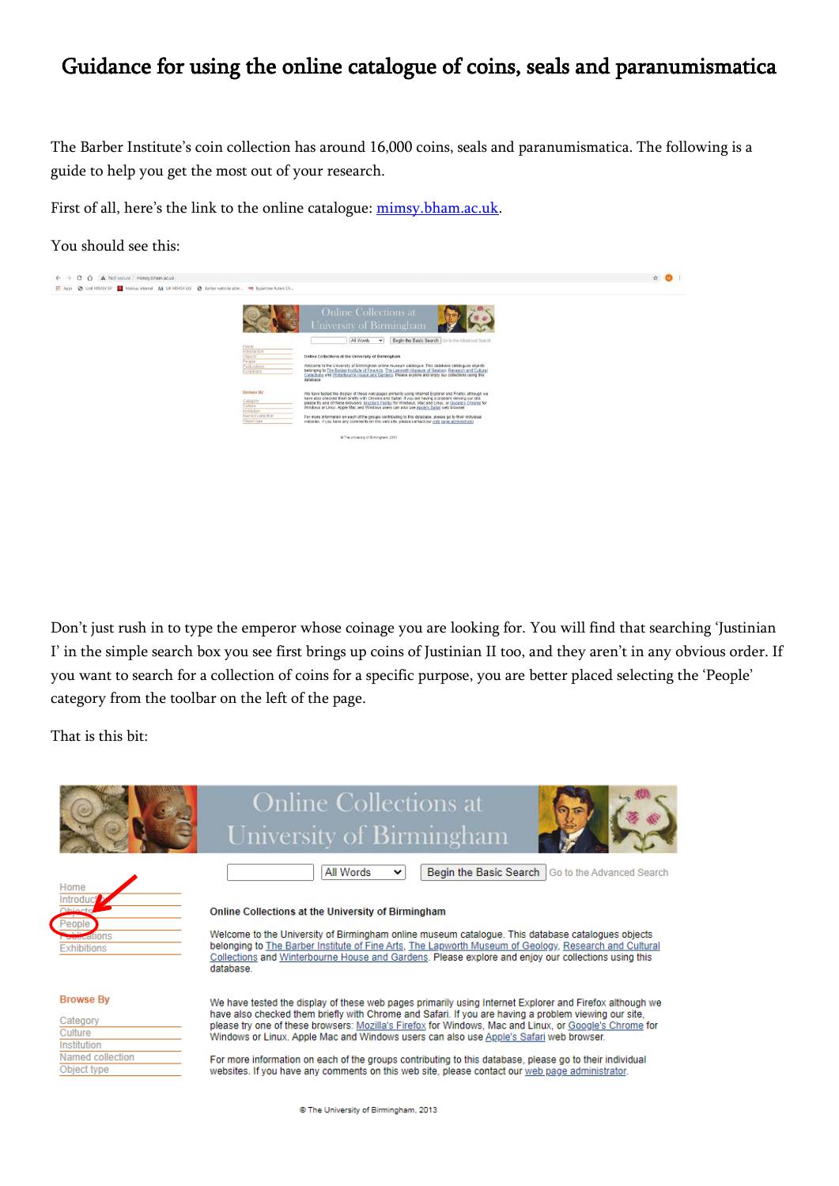## Guidance for using the online catalogue of coins, seals and paranumismatica

The Barber Institute's coin collection has around 16,000 coins, seals and paranumismatica. The following is a guide to help you get the most out of your research.

First of all, here's the link to the online catalogue:  $\overline{\text{mimsy.bham.ac.uk}}$ .

## You should see this:



Don't just rush in to type the emperor whose coinage you are looking for. You will find that searching 'Justinian I' in the simple search box you see first brings up coins of Justinian II too, and they aren't in any obvious order. If you want to search for a collection of coins for a specific purpose, you are better placed selecting the 'People' category from the toolbar on the left of the page.

That is this bit:

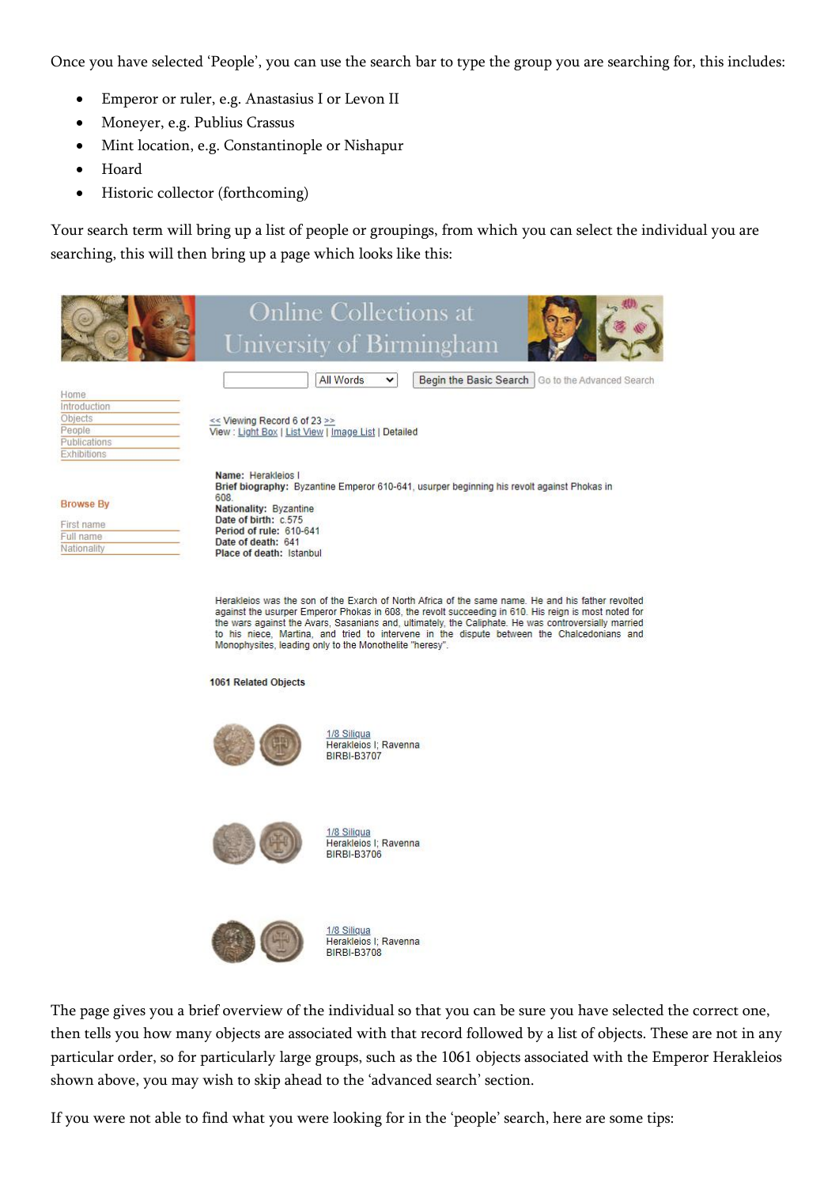Once you have selected 'People', you can use the search bar to type the group you are searching for, this includes:

- Emperor or ruler, e.g. Anastasius I or Levon II
- Moneyer, e.g. Publius Crassus
- Mint location, e.g. Constantinople or Nishapur
- Hoard
- Historic collector (forthcoming)

Your search term will bring up a list of people or groupings, from which you can select the individual you are searching, this will then bring up a page which looks like this:

|                                                                         |                                                                                                                                                                                                                                                                                                                                                                                                                                                                            | <b>Online Collections at</b><br>University of Birmingham                                                                                                                                                                               |  |  |
|-------------------------------------------------------------------------|----------------------------------------------------------------------------------------------------------------------------------------------------------------------------------------------------------------------------------------------------------------------------------------------------------------------------------------------------------------------------------------------------------------------------------------------------------------------------|----------------------------------------------------------------------------------------------------------------------------------------------------------------------------------------------------------------------------------------|--|--|
| Home                                                                    |                                                                                                                                                                                                                                                                                                                                                                                                                                                                            | All Words<br>Begin the Basic Search   Go to the Advanced Search<br>v                                                                                                                                                                   |  |  |
| Introduction<br>Objects<br>People<br>Publications<br><b>Exhibitions</b> | << Viewing Record 6 of 23 >><br>View : Light Box   List View   Image List   Detailed                                                                                                                                                                                                                                                                                                                                                                                       |                                                                                                                                                                                                                                        |  |  |
| <b>Browse By</b><br>First name<br>Full name<br>Nationality              | Name: Herakleios I<br>Brief biography: Byzantine Emperor 610-641, usurper beginning his revolt against Phokas in<br>608.<br>Nationality: Byzantine<br>Date of birth: c.575<br>Period of rule: 610-641<br>Date of death: 641<br>Place of death: Istanbul                                                                                                                                                                                                                    |                                                                                                                                                                                                                                        |  |  |
|                                                                         | Herakleios was the son of the Exarch of North Africa of the same name. He and his father revolted<br>against the usurper Emperor Phokas in 608, the revolt succeeding in 610. His reign is most noted for<br>the wars against the Avars, Sasanians and, ultimately, the Caliphate. He was controversially married<br>to his niece, Martina, and tried to intervene in the dispute between the Chalcedonians and<br>Monophysites, leading only to the Monothelite "heresy". |                                                                                                                                                                                                                                        |  |  |
|                                                                         | 1061 Related Objects                                                                                                                                                                                                                                                                                                                                                                                                                                                       |                                                                                                                                                                                                                                        |  |  |
|                                                                         |                                                                                                                                                                                                                                                                                                                                                                                                                                                                            | 1/8 Siliqua<br>Herakleios I; Ravenna<br><b>BIRBI-B3707</b>                                                                                                                                                                             |  |  |
|                                                                         |                                                                                                                                                                                                                                                                                                                                                                                                                                                                            | 1/8 Siliqua<br>Herakleios I: Ravenna<br><b>BIRBI-B3706</b>                                                                                                                                                                             |  |  |
|                                                                         |                                                                                                                                                                                                                                                                                                                                                                                                                                                                            | 1/8 Siliqua<br>Herakleios I; Ravenna<br><b>BIRBI-B3708</b>                                                                                                                                                                             |  |  |
|                                                                         |                                                                                                                                                                                                                                                                                                                                                                                                                                                                            | The page gives you a brief overview of the individual so that you can be sure you have selected the correct one,<br>ولمستحدث والتروية والمناسبة والمستقطع المستحدث والمستحي والمستحدث والمستحدث والمستحدث والمستحدث والمستحدث والمعارض |  |  |

then tells you how many objects are associated with that record followed by a list of objects. These are not in any particular order, so for particularly large groups, such as the 1061 objects associated with the Emperor Herakleios shown above, you may wish to skip ahead to the 'advanced search' section.

If you were not able to find what you were looking for in the 'people' search, here are some tips: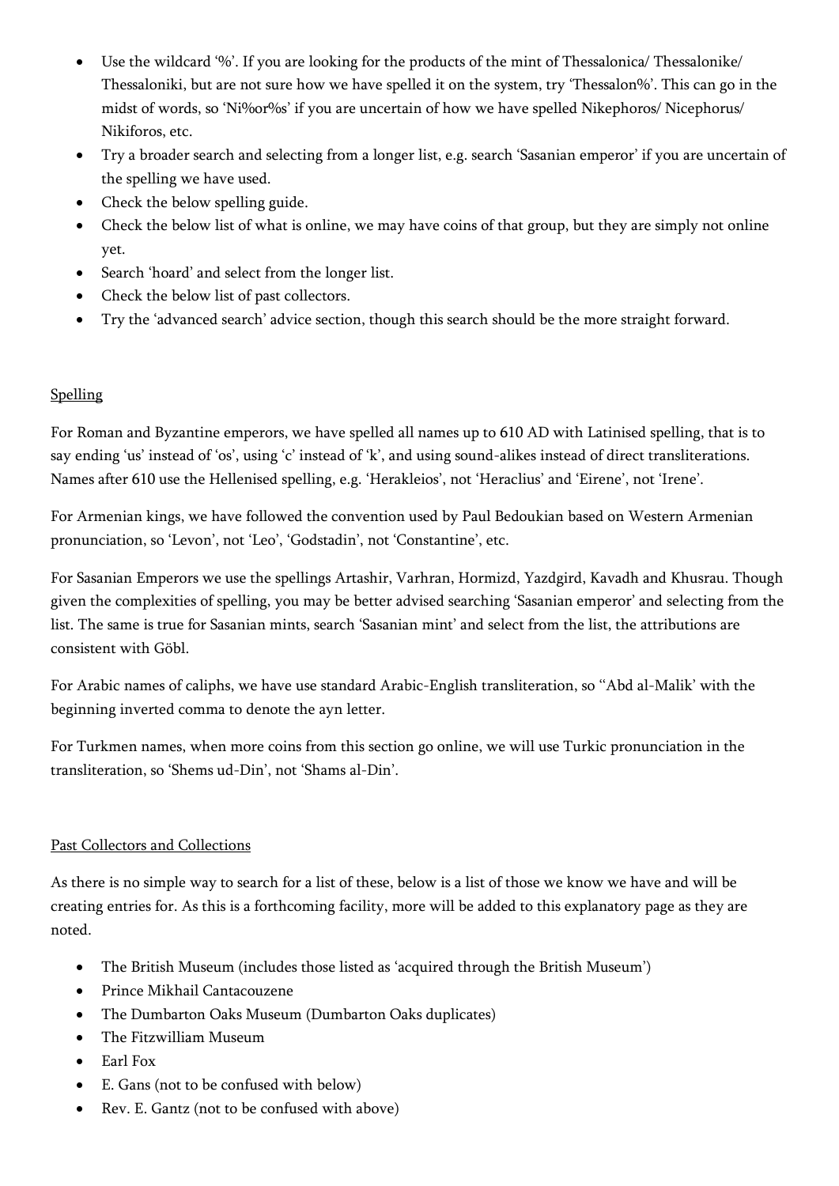- Use the wildcard '%'. If you are looking for the products of the mint of Thessalonica/ Thessalonike/ Thessaloniki, but are not sure how we have spelled it on the system, try 'Thessalon%'. This can go in the midst of words, so 'Ni%or%s' if you are uncertain of how we have spelled Nikephoros/ Nicephorus/ Nikiforos, etc.
- Try a broader search and selecting from a longer list, e.g. search 'Sasanian emperor' if you are uncertain of the spelling we have used.
- Check the below spelling guide.
- Check the below list of what is online, we may have coins of that group, but they are simply not online yet.
- Search 'hoard' and select from the longer list.
- Check the below list of past collectors.
- Try the 'advanced search' advice section, though this search should be the more straight forward.

## Spelling

For Roman and Byzantine emperors, we have spelled all names up to 610 AD with Latinised spelling, that is to say ending 'us' instead of 'os', using 'c' instead of 'k', and using sound-alikes instead of direct transliterations. Names after 610 use the Hellenised spelling, e.g. 'Herakleios', not 'Heraclius' and 'Eirene', not 'Irene'.

For Armenian kings, we have followed the convention used by Paul Bedoukian based on Western Armenian pronunciation, so 'Levon', not 'Leo', 'Godstadin', not 'Constantine', etc.

For Sasanian Emperors we use the spellings Artashir, Varhran, Hormizd, Yazdgird, Kavadh and Khusrau. Though given the complexities of spelling, you may be better advised searching 'Sasanian emperor' and selecting from the list. The same is true for Sasanian mints, search 'Sasanian mint' and select from the list, the attributions are consistent with Göbl.

For Arabic names of caliphs, we have use standard Arabic-English transliteration, so ''Abd al-Malik' with the beginning inverted comma to denote the ayn letter.

For Turkmen names, when more coins from this section go online, we will use Turkic pronunciation in the transliteration, so 'Shems ud-Din', not 'Shams al-Din'.

## Past Collectors and Collections

As there is no simple way to search for a list of these, below is a list of those we know we have and will be creating entries for. As this is a forthcoming facility, more will be added to this explanatory page as they are noted.

- The British Museum (includes those listed as 'acquired through the British Museum')
- Prince Mikhail Cantacouzene
- The Dumbarton Oaks Museum (Dumbarton Oaks duplicates)
- The Fitzwilliam Museum
- Earl Fox
- E. Gans (not to be confused with below)
- Rev. E. Gantz (not to be confused with above)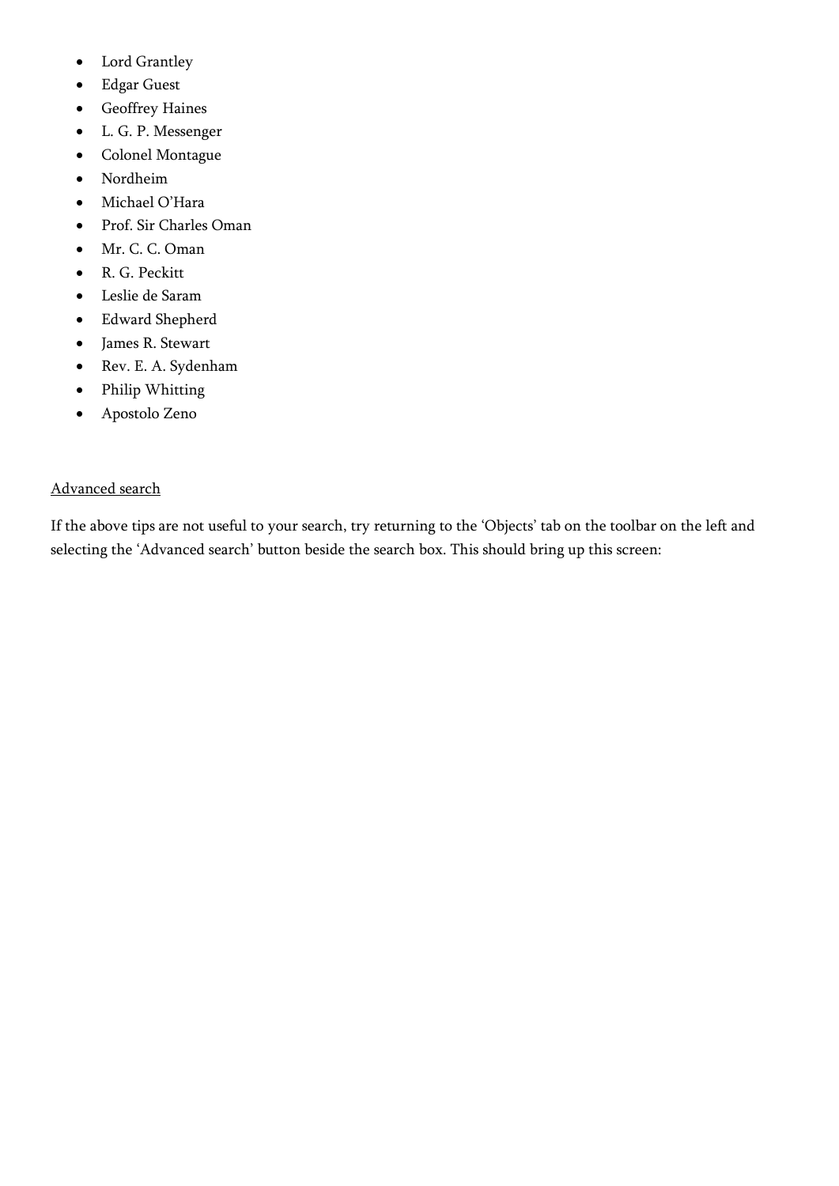- Lord Grantley
- Edgar Guest
- Geoffrey Haines
- L. G. P. Messenger
- Colonel Montague
- Nordheim
- Michael O'Hara
- Prof. Sir Charles Oman
- Mr. C. C. Oman
- R. G. Peckitt
- Leslie de Saram
- Edward Shepherd
- James R. Stewart
- Rev. E. A. Sydenham
- Philip Whitting
- Apostolo Zeno

## Advanced search

If the above tips are not useful to your search, try returning to the 'Objects' tab on the toolbar on the left and selecting the 'Advanced search' button beside the search box. This should bring up this screen: